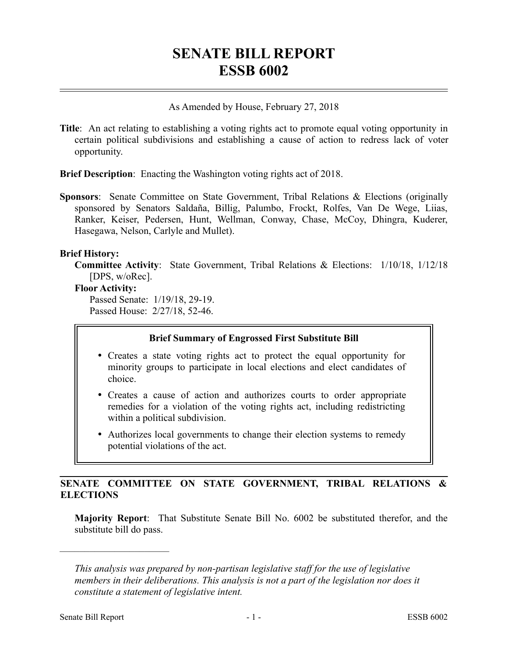# **SENATE BILL REPORT ESSB 6002**

#### As Amended by House, February 27, 2018

**Title**: An act relating to establishing a voting rights act to promote equal voting opportunity in certain political subdivisions and establishing a cause of action to redress lack of voter opportunity.

**Brief Description**: Enacting the Washington voting rights act of 2018.

**Sponsors**: Senate Committee on State Government, Tribal Relations & Elections (originally sponsored by Senators Saldaña, Billig, Palumbo, Frockt, Rolfes, Van De Wege, Liias, Ranker, Keiser, Pedersen, Hunt, Wellman, Conway, Chase, McCoy, Dhingra, Kuderer, Hasegawa, Nelson, Carlyle and Mullet).

#### **Brief History:**

**Committee Activity**: State Government, Tribal Relations & Elections: 1/10/18, 1/12/18 [DPS, w/oRec].

#### **Floor Activity:**

Passed Senate: 1/19/18, 29-19. Passed House: 2/27/18, 52-46.

## **Brief Summary of Engrossed First Substitute Bill**

- Creates a state voting rights act to protect the equal opportunity for minority groups to participate in local elections and elect candidates of choice.
- Creates a cause of action and authorizes courts to order appropriate remedies for a violation of the voting rights act, including redistricting within a political subdivision.
- Authorizes local governments to change their election systems to remedy potential violations of the act.

## **SENATE COMMITTEE ON STATE GOVERNMENT, TRIBAL RELATIONS & ELECTIONS**

**Majority Report**: That Substitute Senate Bill No. 6002 be substituted therefor, and the substitute bill do pass.

––––––––––––––––––––––

*This analysis was prepared by non-partisan legislative staff for the use of legislative members in their deliberations. This analysis is not a part of the legislation nor does it constitute a statement of legislative intent.*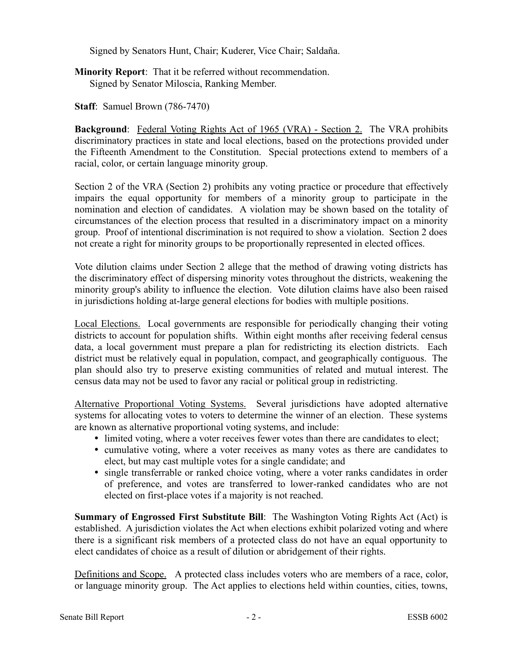Signed by Senators Hunt, Chair; Kuderer, Vice Chair; Saldaña.

**Minority Report**: That it be referred without recommendation. Signed by Senator Miloscia, Ranking Member.

**Staff**: Samuel Brown (786-7470)

**Background**: Federal Voting Rights Act of 1965 (VRA) - Section 2. The VRA prohibits discriminatory practices in state and local elections, based on the protections provided under the Fifteenth Amendment to the Constitution. Special protections extend to members of a racial, color, or certain language minority group.

Section 2 of the VRA (Section 2) prohibits any voting practice or procedure that effectively impairs the equal opportunity for members of a minority group to participate in the nomination and election of candidates. A violation may be shown based on the totality of circumstances of the election process that resulted in a discriminatory impact on a minority group. Proof of intentional discrimination is not required to show a violation. Section 2 does not create a right for minority groups to be proportionally represented in elected offices.

Vote dilution claims under Section 2 allege that the method of drawing voting districts has the discriminatory effect of dispersing minority votes throughout the districts, weakening the minority group's ability to influence the election. Vote dilution claims have also been raised in jurisdictions holding at-large general elections for bodies with multiple positions.

Local Elections. Local governments are responsible for periodically changing their voting districts to account for population shifts. Within eight months after receiving federal census data, a local government must prepare a plan for redistricting its election districts. Each district must be relatively equal in population, compact, and geographically contiguous. The plan should also try to preserve existing communities of related and mutual interest. The census data may not be used to favor any racial or political group in redistricting.

Alternative Proportional Voting Systems. Several jurisdictions have adopted alternative systems for allocating votes to voters to determine the winner of an election. These systems are known as alternative proportional voting systems, and include:

- limited voting, where a voter receives fewer votes than there are candidates to elect;
- cumulative voting, where a voter receives as many votes as there are candidates to elect, but may cast multiple votes for a single candidate; and
- single transferrable or ranked choice voting, where a voter ranks candidates in order of preference, and votes are transferred to lower-ranked candidates who are not elected on first-place votes if a majority is not reached.

**Summary of Engrossed First Substitute Bill**: The Washington Voting Rights Act (Act) is established. A jurisdiction violates the Act when elections exhibit polarized voting and where there is a significant risk members of a protected class do not have an equal opportunity to elect candidates of choice as a result of dilution or abridgement of their rights.

Definitions and Scope. A protected class includes voters who are members of a race, color, or language minority group. The Act applies to elections held within counties, cities, towns,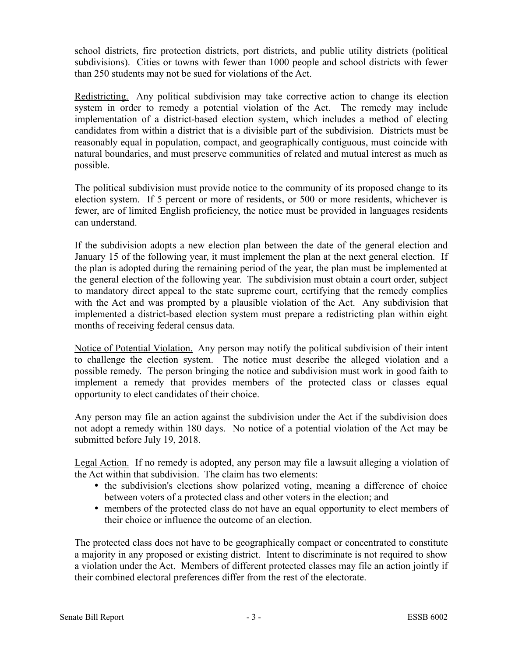school districts, fire protection districts, port districts, and public utility districts (political subdivisions). Cities or towns with fewer than 1000 people and school districts with fewer than 250 students may not be sued for violations of the Act.

Redistricting. Any political subdivision may take corrective action to change its election system in order to remedy a potential violation of the Act. The remedy may include implementation of a district-based election system, which includes a method of electing candidates from within a district that is a divisible part of the subdivision. Districts must be reasonably equal in population, compact, and geographically contiguous, must coincide with natural boundaries, and must preserve communities of related and mutual interest as much as possible.

The political subdivision must provide notice to the community of its proposed change to its election system. If 5 percent or more of residents, or 500 or more residents, whichever is fewer, are of limited English proficiency, the notice must be provided in languages residents can understand.

If the subdivision adopts a new election plan between the date of the general election and January 15 of the following year, it must implement the plan at the next general election. If the plan is adopted during the remaining period of the year, the plan must be implemented at the general election of the following year. The subdivision must obtain a court order, subject to mandatory direct appeal to the state supreme court, certifying that the remedy complies with the Act and was prompted by a plausible violation of the Act. Any subdivision that implemented a district-based election system must prepare a redistricting plan within eight months of receiving federal census data.

Notice of Potential Violation. Any person may notify the political subdivision of their intent to challenge the election system. The notice must describe the alleged violation and a possible remedy. The person bringing the notice and subdivision must work in good faith to implement a remedy that provides members of the protected class or classes equal opportunity to elect candidates of their choice.

Any person may file an action against the subdivision under the Act if the subdivision does not adopt a remedy within 180 days. No notice of a potential violation of the Act may be submitted before July 19, 2018.

Legal Action. If no remedy is adopted, any person may file a lawsuit alleging a violation of the Act within that subdivision. The claim has two elements:

- the subdivision's elections show polarized voting, meaning a difference of choice between voters of a protected class and other voters in the election; and
- members of the protected class do not have an equal opportunity to elect members of their choice or influence the outcome of an election.

The protected class does not have to be geographically compact or concentrated to constitute a majority in any proposed or existing district. Intent to discriminate is not required to show a violation under the Act. Members of different protected classes may file an action jointly if their combined electoral preferences differ from the rest of the electorate.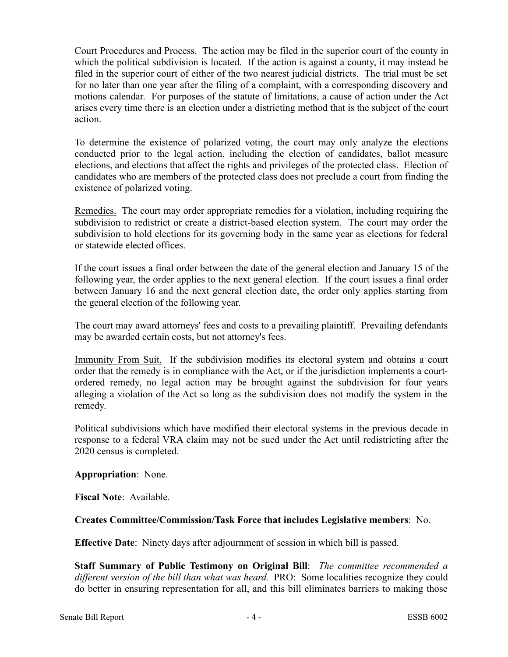Court Procedures and Process. The action may be filed in the superior court of the county in which the political subdivision is located. If the action is against a county, it may instead be filed in the superior court of either of the two nearest judicial districts. The trial must be set for no later than one year after the filing of a complaint, with a corresponding discovery and motions calendar. For purposes of the statute of limitations, a cause of action under the Act arises every time there is an election under a districting method that is the subject of the court action.

To determine the existence of polarized voting, the court may only analyze the elections conducted prior to the legal action, including the election of candidates, ballot measure elections, and elections that affect the rights and privileges of the protected class. Election of candidates who are members of the protected class does not preclude a court from finding the existence of polarized voting.

Remedies. The court may order appropriate remedies for a violation, including requiring the subdivision to redistrict or create a district-based election system. The court may order the subdivision to hold elections for its governing body in the same year as elections for federal or statewide elected offices.

If the court issues a final order between the date of the general election and January 15 of the following year, the order applies to the next general election. If the court issues a final order between January 16 and the next general election date, the order only applies starting from the general election of the following year.

The court may award attorneys' fees and costs to a prevailing plaintiff. Prevailing defendants may be awarded certain costs, but not attorney's fees.

Immunity From Suit. If the subdivision modifies its electoral system and obtains a court order that the remedy is in compliance with the Act, or if the jurisdiction implements a courtordered remedy, no legal action may be brought against the subdivision for four years alleging a violation of the Act so long as the subdivision does not modify the system in the remedy.

Political subdivisions which have modified their electoral systems in the previous decade in response to a federal VRA claim may not be sued under the Act until redistricting after the 2020 census is completed.

## **Appropriation**: None.

**Fiscal Note**: Available.

## **Creates Committee/Commission/Task Force that includes Legislative members**: No.

**Effective Date**: Ninety days after adjournment of session in which bill is passed.

**Staff Summary of Public Testimony on Original Bill**: *The committee recommended a different version of the bill than what was heard.* PRO: Some localities recognize they could do better in ensuring representation for all, and this bill eliminates barriers to making those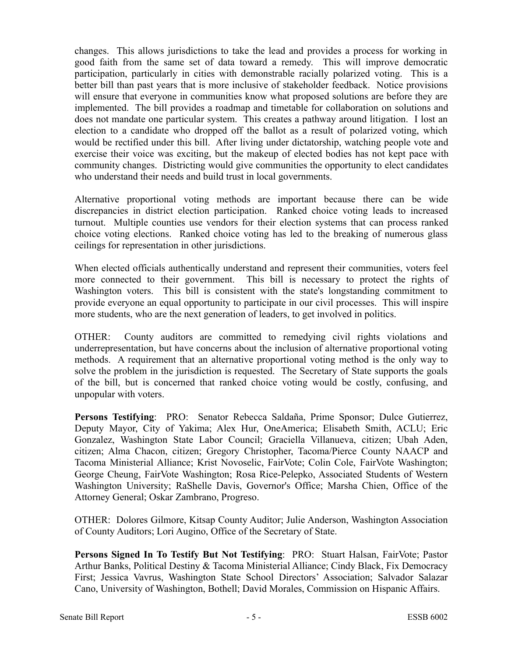changes. This allows jurisdictions to take the lead and provides a process for working in good faith from the same set of data toward a remedy. This will improve democratic participation, particularly in cities with demonstrable racially polarized voting. This is a better bill than past years that is more inclusive of stakeholder feedback. Notice provisions will ensure that everyone in communities know what proposed solutions are before they are implemented. The bill provides a roadmap and timetable for collaboration on solutions and does not mandate one particular system. This creates a pathway around litigation. I lost an election to a candidate who dropped off the ballot as a result of polarized voting, which would be rectified under this bill. After living under dictatorship, watching people vote and exercise their voice was exciting, but the makeup of elected bodies has not kept pace with community changes. Districting would give communities the opportunity to elect candidates who understand their needs and build trust in local governments.

Alternative proportional voting methods are important because there can be wide discrepancies in district election participation. Ranked choice voting leads to increased turnout. Multiple counties use vendors for their election systems that can process ranked choice voting elections. Ranked choice voting has led to the breaking of numerous glass ceilings for representation in other jurisdictions.

When elected officials authentically understand and represent their communities, voters feel more connected to their government. This bill is necessary to protect the rights of Washington voters. This bill is consistent with the state's longstanding commitment to provide everyone an equal opportunity to participate in our civil processes. This will inspire more students, who are the next generation of leaders, to get involved in politics.

OTHER: County auditors are committed to remedying civil rights violations and underrepresentation, but have concerns about the inclusion of alternative proportional voting methods. A requirement that an alternative proportional voting method is the only way to solve the problem in the jurisdiction is requested. The Secretary of State supports the goals of the bill, but is concerned that ranked choice voting would be costly, confusing, and unpopular with voters.

**Persons Testifying**: PRO: Senator Rebecca Saldaña, Prime Sponsor; Dulce Gutierrez, Deputy Mayor, City of Yakima; Alex Hur, OneAmerica; Elisabeth Smith, ACLU; Eric Gonzalez, Washington State Labor Council; Graciella Villanueva, citizen; Ubah Aden, citizen; Alma Chacon, citizen; Gregory Christopher, Tacoma/Pierce County NAACP and Tacoma Ministerial Alliance; Krist Novoselic, FairVote; Colin Cole, FairVote Washington; George Cheung, FairVote Washington; Rosa Rice-Pelepko, Associated Students of Western Washington University; RaShelle Davis, Governor's Office; Marsha Chien, Office of the Attorney General; Oskar Zambrano, Progreso.

OTHER: Dolores Gilmore, Kitsap County Auditor; Julie Anderson, Washington Association of County Auditors; Lori Augino, Office of the Secretary of State.

**Persons Signed In To Testify But Not Testifying**: PRO: Stuart Halsan, FairVote; Pastor Arthur Banks, Political Destiny & Tacoma Ministerial Alliance; Cindy Black, Fix Democracy First; Jessica Vavrus, Washington State School Directors' Association; Salvador Salazar Cano, University of Washington, Bothell; David Morales, Commission on Hispanic Affairs.